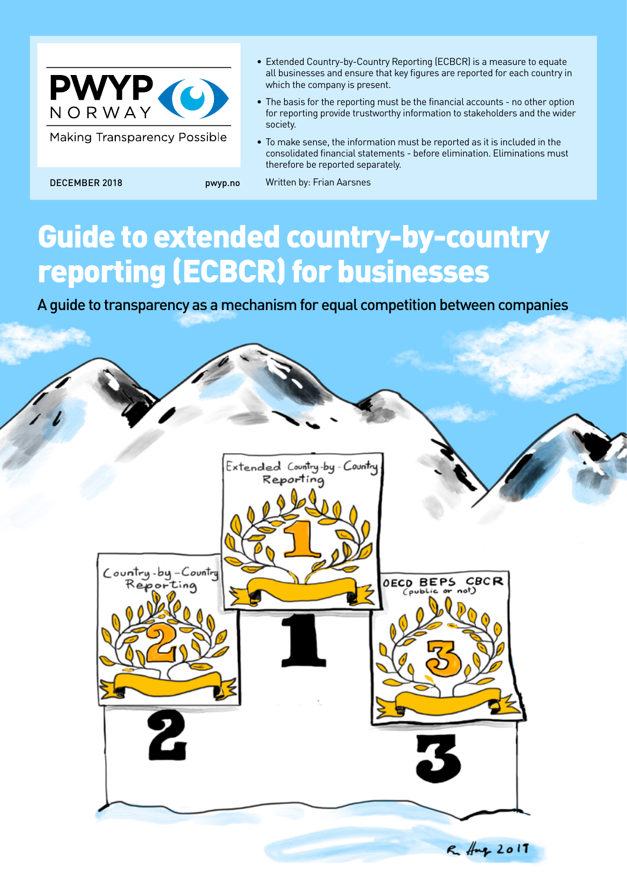

**Making Transparency Possible** 

 $\epsilon$ ountry-by-Country

- Extended Country-by-Country Reporting (ECBCR) is a measure to equate all businesses and ensure that key figures are reported for each country in which the company is present.
- The basis for the reporting must be the financial accounts no other option for reporting provide trustworthy information to stakeholders and the wider society.
- To make sense, the information must be reported as it is included in the consolidated financial statements - before elimination. Eliminations must therefore be reported separately.

**CBCR** 

 $R_{\text{up}}$  2017

**OECD BEPS** 

DECEMBER 2018 pwyp.no Written by: Frian Aarsnes

# Guide to extended country-by-country reporting (ECBCR) for businesses

A guide to transparency as a mechanism for equal competition between companies

Extended Country-by - Country Reporting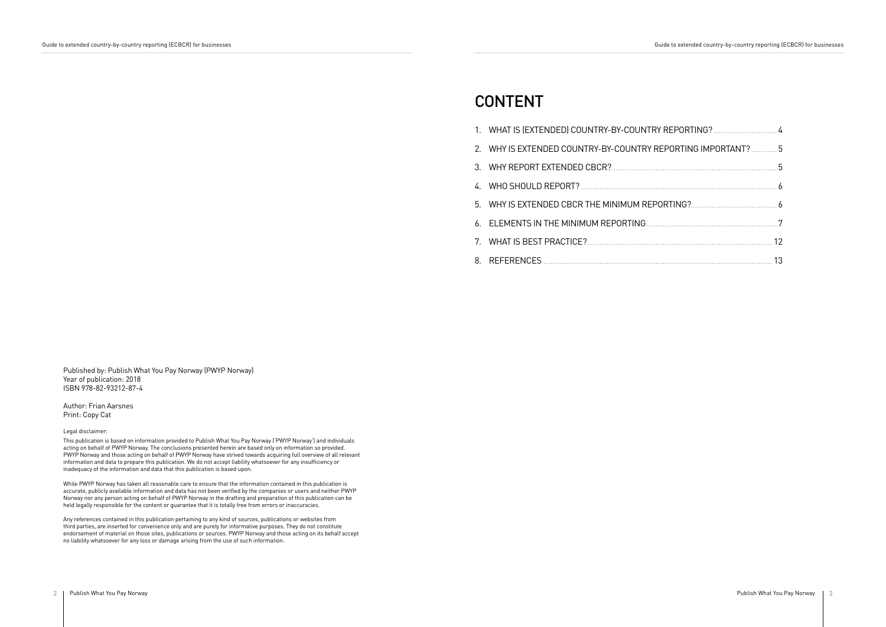Published by: Publish What You Pay Norway (PWYP Norway) Year of publication: 2018 ISBN 978-82-93212-87-4

Author: Frian Aarsnes Print: Copy Cat

Legal disclaimer:

This publication is based on information provided to Publish What You Pay Norway ('PWYP Norway') and individuals acting on behalf of PWYP Norway. The conclusions presented herein are based only on information so provided. PWYP Norway and those acting on behalf of PWYP Norway have strived towards acquiring full overview of all relevant information and data to prepare this publication. We do not accept liability whatsoever for any insufficiency or inadequacy of the information and data that this publication is based upon.

While PWYP Norway has taken all reasonable care to ensure that the information contained in this publication is accurate, publicly available information and data has not been verified by the companies or users and neither PWYP Norway nor any person acting on behalf of PWYP Norway in the drafting and preparation of this publication can be held legally responsible for the content or guarantee that it is totally free from errors or inaccuracies.

- 1. WHAT IS (EXTENDED) COUNTRY-BY-COUNTRY RE
- 2. WHY IS EXTENDED COUNTRY-BY-COUNTRY REP
- 3. WHY REPORT EXTENDED CBCR?.........................
- 4. WHO SHOULD REPORT? . . 6
- 5. WHY IS EXTENDED CBCR THE MINIMUM REPORT
- 6. ELEMENTS IN THE MINIMUM REPORTING..........
- 7. WHAT IS BEST PRACTICE? . . 12
- 8. REFERENCES . . 13

Any references contained in this publication pertaining to any kind of sources, publications or websites from third parties, are inserted for convenience only and are purely for informative purposes. They do not constitute endorsement of material on those sites, publications or sources. PWYP Norway and those acting on its behalf accept no liability whatsoever for any loss or damage arising from the use of such information.

Guide to extended country-by-country reporting (ECBCR) for businesses extended country-by-country reporting (ECBCR) for businesses extended country-by-country reporting (ECBCR) for businesses

| EPORTING? 4          |  |
|----------------------|--|
| ORTING IMPORTANT?  5 |  |
|                      |  |
|                      |  |
|                      |  |
|                      |  |
|                      |  |
|                      |  |

# CONTENT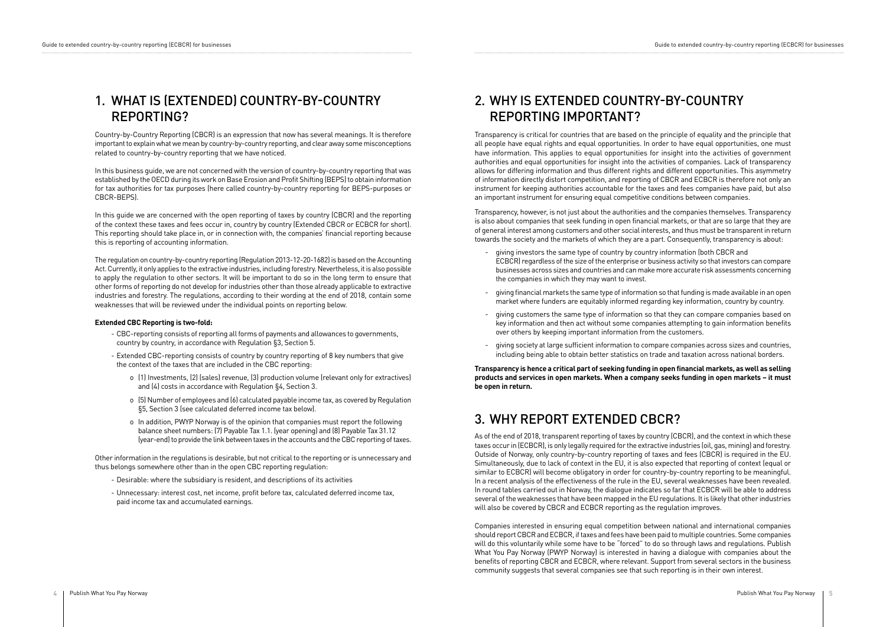# 1. WHAT IS (EXTENDED) COUNTRY-BY-COUNTRY REPORTING?

# 2. WHY IS EXTENDED COUNTRY-BY-COUNTRY REPORTING IMPORTANT?

# 3. WHY REPORT EXTENDED CBCR?

Country-by-Country Reporting (CBCR) is an expression that now has several meanings. It is therefore important to explain what we mean by country-by-country reporting, and clear away some misconceptions related to country-by-country reporting that we have noticed.

In this business guide, we are not concerned with the version of country-by-country reporting that was established by the OECD during its work on Base Erosion and Profit Shifting (BEPS) to obtain information for tax authorities for tax purposes (here called country-by-country reporting for BEPS-purposes or CBCR-BEPS).

In this guide we are concerned with the open reporting of taxes by country (CBCR) and the reporting of the context these taxes and fees occur in, country by country (Extended CBCR or ECBCR for short). This reporting should take place in, or in connection with, the companies' financial reporting because this is reporting of accounting information.

The regulation on country-by-country reporting (Regulation 2013-12-20-1682) is based on the Accounting Act. Currently, it only applies to the extractive industries, including forestry. Nevertheless, it is also possible to apply the regulation to other sectors. It will be important to do so in the long term to ensure that other forms of reporting do not develop for industries other than those already applicable to extractive industries and forestry. The regulations, according to their wording at the end of 2018, contain some weaknesses that will be reviewed under the individual points on reporting below.

#### **Extended CBC Reporting is two-fold:**

- CBC-reporting consists of reporting all forms of payments and allowances to governments, country by country, in accordance with Regulation §3, Section 5.
- Extended CBC-reporting consists of country by country reporting of 8 key numbers that give the context of the taxes that are included in the CBC reporting:
	- o (1) Investments, (2) (sales) revenue, (3) production volume (relevant only for extractives) and (4) costs in accordance with Regulation §4, Section 3.
	- o (5) Number of employees and (6) calculated payable income tax, as covered by Regulation §5, Section 3 (see calculated deferred income tax below).
	- o In addition, PWYP Norway is of the opinion that companies must report the following balance sheet numbers: (7) Payable Tax 1.1. (year opening) and (8) Payable Tax 31.12 (year-end) to provide the link between taxes in the accounts and the CBC reporting of taxes.

Other information in the regulations is desirable, but not critical to the reporting or is unnecessary and thus belongs somewhere other than in the open CBC reporting regulation:

- Desirable: where the subsidiary is resident, and descriptions of its activities
- Unnecessary: interest cost, net income, profit before tax, calculated deferred income tax, paid income tax and accumulated earnings.

Transparency is critical for countries that are based on the principle of equality and the principle that all people have equal rights and equal opportunities. In order to have equal opportunities, one must have information. This applies to equal opportunities for insight into the activities of government authorities and equal opportunities for insight into the activities of companies. Lack of transparency allows for differing information and thus different rights and different opportunities. This asymmetry of information directly distort competition, and reporting of CBCR and ECBCR is therefore not only an instrument for keeping authorities accountable for the taxes and fees companies have paid, but also an important instrument for ensuring equal competitive conditions between companies.

Transparency, however, is not just about the authorities and the companies themselves. Transparency is also about companies that seek funding in open financial markets, or that are so large that they are of general interest among customers and other social interests, and thus must be transparent in return towards the society and the markets of which they are a part. Consequently, transparency is about:

- giving investors the same type of country by country information (both CBCR and ECBCR) regardless of the size of the enterprise or business activity so that investors can compare businesses across sizes and countries and can make more accurate risk assessments concerning the companies in which they may want to invest.
- giving financial markets the same type of information so that funding is made available in an open market where funders are equitably informed regarding key information, country by country.
- giving customers the same type of information so that they can compare companies based on key information and then act without some companies attempting to gain information benefits over others by keeping important information from the customers.
- giving society at large sufficient information to compare companies across sizes and countries, including being able to obtain better statistics on trade and taxation across national borders.

**Transparency is hence a critical part of seeking funding in open financial markets, as well as selling products and services in open markets. When a company seeks funding in open markets – it must be open in return.**

As of the end of 2018, transparent reporting of taxes by country (CBCR), and the context in which these taxes occur in (ECBCR), is only legally required for the extractive industries (oil, gas, mining) and forestry. Outside of Norway, only country-by-country reporting of taxes and fees (CBCR) is required in the EU. Simultaneously, due to lack of context in the EU, it is also expected that reporting of context (equal or similar to ECBCR) will become obligatory in order for country-by-country reporting to be meaningful. In a recent analysis of the effectiveness of the rule in the EU, several weaknesses have been revealed. In round tables carried out in Norway, the dialogue indicates so far that ECBCR will be able to address several of the weaknesses that have been mapped in the EU regulations. It is likely that other industries will also be covered by CBCR and ECBCR reporting as the regulation improves.

Companies interested in ensuring equal competition between national and international companies should report CBCR and ECBCR, if taxes and fees have been paid to multiple countries. Some companies will do this voluntarily while some have to be "forced" to do so through laws and regulations. Publish What You Pay Norway (PWYP Norway) is interested in having a dialogue with companies about the benefits of reporting CBCR and ECBCR, where relevant. Support from several sectors in the business community suggests that several companies see that such reporting is in their own interest.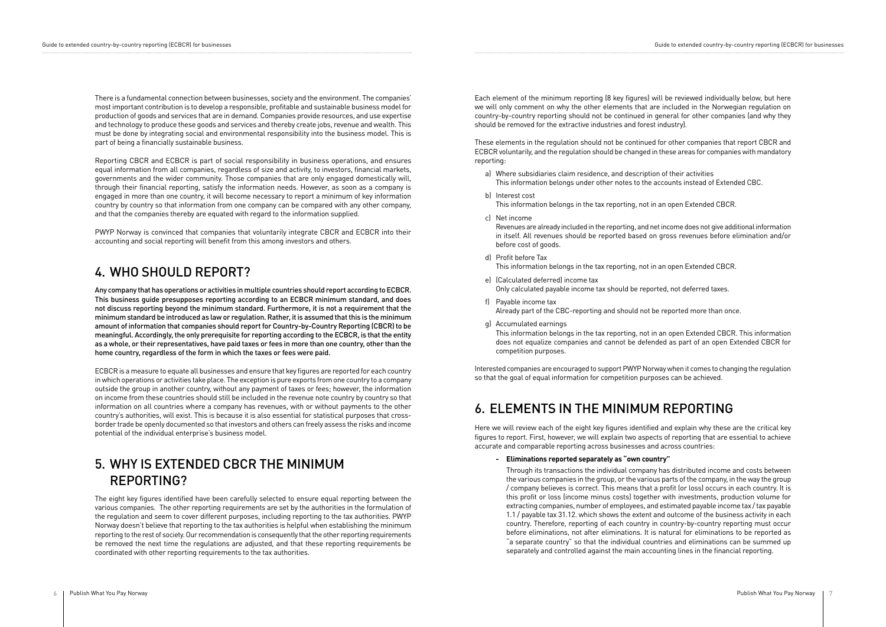There is a fundamental connection between businesses, society and the environment. The companies' most important contribution is to develop a responsible, profitable and sustainable business model for production of goods and services that are in demand. Companies provide resources, and use expertise and technology to produce these goods and services and thereby create jobs, revenue and wealth. This must be done by integrating social and environmental responsibility into the business model. This is part of being a financially sustainable business.

Reporting CBCR and ECBCR is part of social responsibility in business operations, and ensures equal information from all companies, regardless of size and activity, to investors, financial markets, governments and the wider community. Those companies that are only engaged domestically will, through their financial reporting, satisfy the information needs. However, as soon as a company is engaged in more than one country, it will become necessary to report a minimum of key information country by country so that information from one company can be compared with any other company, and that the companies thereby are equated with regard to the information supplied.

PWYP Norway is convinced that companies that voluntarily integrate CBCR and ECBCR into their accounting and social reporting will benefit from this among investors and others.

The eight key figures identified have been carefully selected to ensure equal reporting between the various companies. The other reporting requirements are set by the authorities in the formulation of the regulation and seem to cover different purposes, including reporting to the tax authorities. PWYP Norway doesn't believe that reporting to the tax authorities is helpful when establishing the minimum reporting to the rest of society. Our recommendation is consequently that the other reporting requirements be removed the next time the regulations are adjusted, and that these reporting requirements be coordinated with other reporting requirements to the tax authorities.

Any company that has operations or activities in multiple countries should report according to ECBCR. This business guide presupposes reporting according to an ECBCR minimum standard, and does not discuss reporting beyond the minimum standard. Furthermore, it is not a requirement that the minimum standard be introduced as law or regulation. Rather, it is assumed that this is the minimum amount of information that companies should report for Country-by-Country Reporting (CBCR) to be meaningful. Accordingly, the only prerequisite for reporting according to the ECBCR, is that the entity as a whole, or their representatives, have paid taxes or fees in more than one country, other than the home country, regardless of the form in which the taxes or fees were paid.

ECBCR is a measure to equate all businesses and ensure that key figures are reported for each country in which operations or activities take place. The exception is pure exports from one country to a company outside the group in another country, without any payment of taxes or fees; however, the information on income from these countries should still be included in the revenue note country by country so that information on all countries where a company has revenues, with or without payments to the other country's authorities, will exist. This is because it is also essential for statistical purposes that crossborder trade be openly documented so that investors and others can freely assess the risks and income potential of the individual enterprise's business model.

### 4. WHO SHOULD REPORT?

# 5. WHY IS EXTENDED CBCR THE MINIMUM REPORTING?

Each element of the minimum reporting (8 key figures) will be reviewed individually below, but here we will only comment on why the other elements that are included in the Norwegian regulation on country-by-country reporting should not be continued in general for other companies (and why they should be removed for the extractive industries and forest industry).

These elements in the regulation should not be continued for other companies that report CBCR and ECBCR voluntarily, and the regulation should be changed in these areas for companies with mandatory reporting:

- a) Where subsidiaries claim residence, and description of their activities This information belongs under other notes to the accounts instead of Extended CBC.
- b) Interest cost This information belongs in the tax reporting, not in an open Extended CBCR.
- c) Net income Revenues are already included in the reporting, and net income does not give additional information in itself. All revenues should be reported based on gross revenues before elimination and/or before cost of goods.
- d) Profit before Tax This information belongs in the tax reporting, not in an open Extended CBCR.
- e) (Calculated deferred) income tax Only calculated payable income tax should be reported, not deferred taxes.
- f) Payable income tax Already part of the CBC-reporting and should not be reported more than once.
- g) Accumulated earnings

 This information belongs in the tax reporting, not in an open Extended CBCR. This information does not equalize companies and cannot be defended as part of an open Extended CBCR for competition purposes.

Interested companies are encouraged to support PWYP Norway when it comes to changing the regulation so that the goal of equal information for competition purposes can be achieved.

# 6. ELEMENTS IN THE MINIMUM REPORTING

Here we will review each of the eight key figures identified and explain why these are the critical key figures to report. First, however, we will explain two aspects of reporting that are essential to achieve accurate and comparable reporting across businesses and across countries:

**- Eliminations reported separately as "own country"**

 Through its transactions the individual company has distributed income and costs between the various companies in the group, or the various parts of the company, in the way the group / company believes is correct. This means that a profit (or loss) occurs in each country. It is this profit or loss (income minus costs) together with investments, production volume for extracting companies, number of employees, and estimated payable income tax / tax payable 1.1 / payable tax 31.12. which shows the extent and outcome of the business activity in each country. Therefore, reporting of each country in country-by-country reporting must occur before eliminations, not after eliminations. It is natural for eliminations to be reported as "a separate country" so that the individual countries and eliminations can be summed up separately and controlled against the main accounting lines in the financial reporting.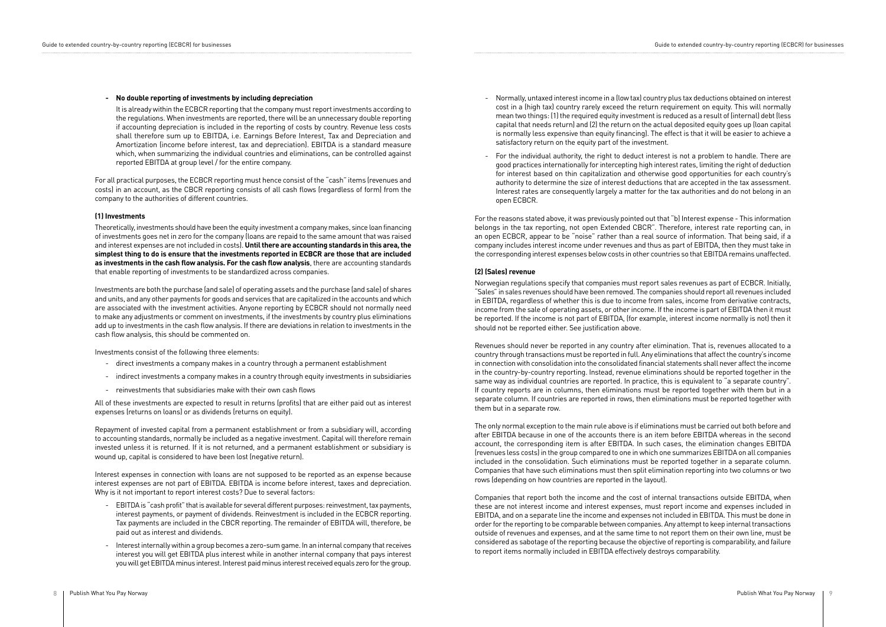#### **- No double reporting of investments by including depreciation**

 It is already within the ECBCR reporting that the company must report investments according to the regulations. When investments are reported, there will be an unnecessary double reporting if accounting depreciation is included in the reporting of costs by country. Revenue less costs shall therefore sum up to EBITDA, i.e. Earnings Before Interest, Tax and Depreciation and Amortization (income before interest, tax and depreciation). EBITDA is a standard measure which, when summarizing the individual countries and eliminations, can be controlled against reported EBITDA at group level / for the entire company.

For all practical purposes, the ECBCR reporting must hence consist of the "cash" items (revenues and costs) in an account, as the CBCR reporting consists of all cash flows (regardless of form) from the company to the authorities of different countries.

#### **(1) Investments**

Theoretically, investments should have been the equity investment a company makes, since loan financing of investments goes net in zero for the company (loans are repaid to the same amount that was raised and interest expenses are not included in costs). **Until there are accounting standards in this area, the simplest thing to do is ensure that the investments reported in ECBCR are those that are included as investments in the cash flow analysis. For the cash flow analysis**, there are accounting standards that enable reporting of investments to be standardized across companies.

Investments are both the purchase (and sale) of operating assets and the purchase (and sale) of shares and units, and any other payments for goods and services that are capitalized in the accounts and which are associated with the investment activities. Anyone reporting by ECBCR should not normally need to make any adjustments or comment on investments, if the investments by country plus eliminations add up to investments in the cash flow analysis. If there are deviations in relation to investments in the cash flow analysis, this should be commented on.

Investments consist of the following three elements:

- direct investments a company makes in a country through a permanent establishment
- indirect investments a company makes in a country through equity investments in subsidiaries
- reinvestments that subsidiaries make with their own cash flows

All of these investments are expected to result in returns (profits) that are either paid out as interest expenses (returns on loans) or as dividends (returns on equity).

Repayment of invested capital from a permanent establishment or from a subsidiary will, according to accounting standards, normally be included as a negative investment. Capital will therefore remain invested unless it is returned. If it is not returned, and a permanent establishment or subsidiary is wound up, capital is considered to have been lost (negative return).

Interest expenses in connection with loans are not supposed to be reported as an expense because interest expenses are not part of EBITDA. EBITDA is income before interest, taxes and depreciation. Why is it not important to report interest costs? Due to several factors:

- EBITDA is "cash profit" that is available for several different purposes: reinvestment, tax payments, interest payments, or payment of dividends. Reinvestment is included in the ECBCR reporting. Tax payments are included in the CBCR reporting. The remainder of EBITDA will, therefore, be paid out as interest and dividends.
- Interest internally within a group becomes a zero-sum game. In an internal company that receives interest you will get EBITDA plus interest while in another internal company that pays interest you will get EBITDA minus interest. Interest paid minus interest received equals zero for the group.
- Normally, untaxed interest income in a (low tax) country plus tax deductions obtained on interest cost in a (high tax) country rarely exceed the return requirement on equity. This will normally mean two things: (1) the required equity investment is reduced as a result of (internal) debt (less capital that needs return) and (2) the return on the actual deposited equity goes up (loan capital is normally less expensive than equity financing). The effect is that it will be easier to achieve a satisfactory return on the equity part of the investment.
- For the individual authority, the right to deduct interest is not a problem to handle. There are good practices internationally for intercepting high interest rates, limiting the right of deduction for interest based on thin capitalization and otherwise good opportunities for each country's authority to determine the size of interest deductions that are accepted in the tax assessment. Interest rates are consequently largely a matter for the tax authorities and do not belong in an open ECBCR.

For the reasons stated above, it was previously pointed out that "b) Interest expense - This information belongs in the tax reporting, not open Extended CBCR". Therefore, interest rate reporting can, in an open ECBCR, appear to be "noise" rather than a real source of information. That being said, if a company includes interest income under revenues and thus as part of EBITDA, then they must take in the corresponding interest expenses below costs in other countries so that EBITDA remains unaffected.

#### **(2) (Sales) revenue**

Norwegian regulations specify that companies must report sales revenues as part of ECBCR. Initially, "Sales" in sales revenues should have been removed. The companies should report all revenues included in EBITDA, regardless of whether this is due to income from sales, income from derivative contracts, income from the sale of operating assets, or other income. If the income is part of EBITDA then it must be reported. If the income is not part of EBITDA, (for example, interest income normally is not) then it should not be reported either. See justification above.

Revenues should never be reported in any country after elimination. That is, revenues allocated to a country through transactions must be reported in full. Any eliminations that affect the country's income in connection with consolidation into the consolidated financial statements shall never affect the income in the country-by-country reporting. Instead, revenue eliminations should be reported together in the same way as individual countries are reported. In practice, this is equivalent to "a separate country". If country reports are in columns, then eliminations must be reported together with them but in a separate column. If countries are reported in rows, then eliminations must be reported together with them but in a separate row.

The only normal exception to the main rule above is if eliminations must be carried out both before and after EBITDA because in one of the accounts there is an item before EBITDA whereas in the second account, the corresponding item is after EBITDA. In such cases, the elimination changes EBITDA (revenues less costs) in the group compared to one in which one summarizes EBITDA on all companies included in the consolidation. Such eliminations must be reported together in a separate column. Companies that have such eliminations must then split elimination reporting into two columns or two rows (depending on how countries are reported in the layout).

Companies that report both the income and the cost of internal transactions outside EBITDA, when these are not interest income and interest expenses, must report income and expenses included in EBITDA, and on a separate line the income and expenses not included in EBITDA. This must be done in order for the reporting to be comparable between companies. Any attempt to keep internal transactions outside of revenues and expenses, and at the same time to not report them on their own line, must be considered as sabotage of the reporting because the objective of reporting is comparability, and failure to report items normally included in EBITDA effectively destroys comparability.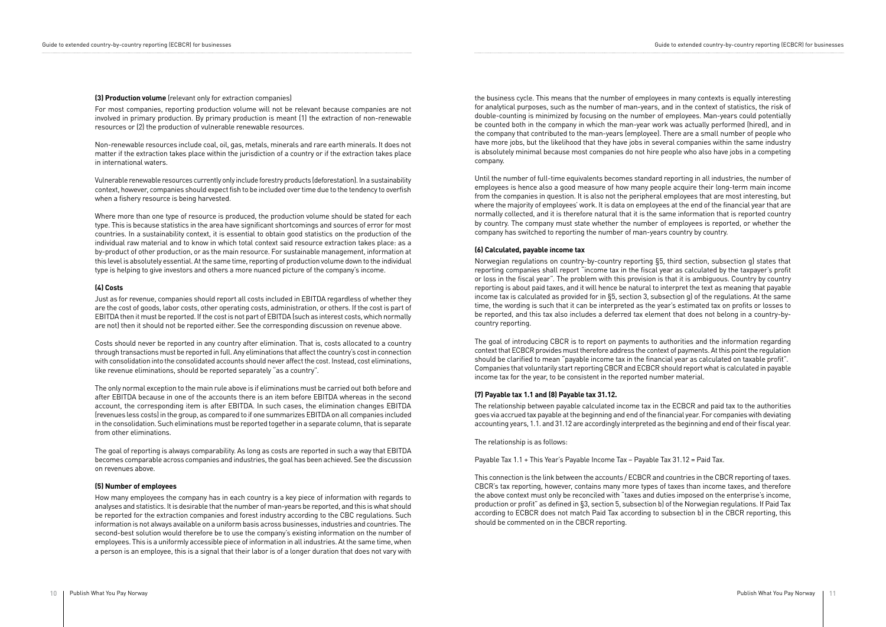#### **(3) Production volume** (relevant only for extraction companies)

For most companies, reporting production volume will not be relevant because companies are not involved in primary production. By primary production is meant (1) the extraction of non-renewable resources or (2) the production of vulnerable renewable resources.

Non-renewable resources include coal, oil, gas, metals, minerals and rare earth minerals. It does not matter if the extraction takes place within the jurisdiction of a country or if the extraction takes place in international waters.

Vulnerable renewable resources currently only include forestry products (deforestation). In a sustainability context, however, companies should expect fish to be included over time due to the tendency to overfish when a fishery resource is being harvested.

Where more than one type of resource is produced, the production volume should be stated for each type. This is because statistics in the area have significant shortcomings and sources of error for most countries. In a sustainability context, it is essential to obtain good statistics on the production of the individual raw material and to know in which total context said resource extraction takes place: as a by-product of other production, or as the main resource. For sustainable management, information at this level is absolutely essential. At the same time, reporting of production volume down to the individual type is helping to give investors and others a more nuanced picture of the company's income.

#### **(4) Costs**

Just as for revenue, companies should report all costs included in EBITDA regardless of whether they are the cost of goods, labor costs, other operating costs, administration, or others. If the cost is part of EBITDA then it must be reported. If the cost is not part of EBITDA (such as interest costs, which normally are not) then it should not be reported either. See the corresponding discussion on revenue above.

Costs should never be reported in any country after elimination. That is, costs allocated to a country through transactions must be reported in full. Any eliminations that affect the country's cost in connection with consolidation into the consolidated accounts should never affect the cost. Instead, cost eliminations, like revenue eliminations, should be reported separately "as a country".

The only normal exception to the main rule above is if eliminations must be carried out both before and after EBITDA because in one of the accounts there is an item before EBITDA whereas in the second account, the corresponding item is after EBITDA. In such cases, the elimination changes EBITDA (revenues less costs) in the group, as compared to if one summarizes EBITDA on all companies included in the consolidation. Such eliminations must be reported together in a separate column, that is separate from other eliminations.

The goal of reporting is always comparability. As long as costs are reported in such a way that EBITDA becomes comparable across companies and industries, the goal has been achieved. See the discussion on revenues above.

#### **(5) Number of employees**

How many employees the company has in each country is a key piece of information with regards to analyses and statistics. It is desirable that the number of man-years be reported, and this is what should be reported for the extraction companies and forest industry according to the CBC regulations. Such information is not always available on a uniform basis across businesses, industries and countries. The second-best solution would therefore be to use the company's existing information on the number of employees. This is a uniformly accessible piece of information in all industries. At the same time, when a person is an employee, this is a signal that their labor is of a longer duration that does not vary with

the business cycle. This means that the number of employees in many contexts is equally interesting for analytical purposes, such as the number of man-years, and in the context of statistics, the risk of double-counting is minimized by focusing on the number of employees. Man-years could potentially be counted both in the company in which the man-year work was actually performed (hired), and in the company that contributed to the man-years (employee). There are a small number of people who have more jobs, but the likelihood that they have jobs in several companies within the same industry is absolutely minimal because most companies do not hire people who also have jobs in a competing company.

Until the number of full-time equivalents becomes standard reporting in all industries, the number of employees is hence also a good measure of how many people acquire their long-term main income from the companies in question. It is also not the peripheral employees that are most interesting, but where the majority of employees' work. It is data on employees at the end of the financial year that are normally collected, and it is therefore natural that it is the same information that is reported country by country. The company must state whether the number of employees is reported, or whether the company has switched to reporting the number of man-years country by country.

#### **(6) Calculated, payable income tax**

Norwegian regulations on country-by-country reporting §5, third section, subsection g) states that reporting companies shall report "income tax in the fiscal year as calculated by the taxpayer's profit or loss in the fiscal year". The problem with this provision is that it is ambiguous. Country by country reporting is about paid taxes, and it will hence be natural to interpret the text as meaning that payable income tax is calculated as provided for in §5, section 3, subsection g) of the regulations. At the same time, the wording is such that it can be interpreted as the year's estimated tax on profits or losses to be reported, and this tax also includes a deferred tax element that does not belong in a country-bycountry reporting.

The goal of introducing CBCR is to report on payments to authorities and the information regarding context that ECBCR provides must therefore address the context of payments. At this point the regulation should be clarified to mean "payable income tax in the financial year as calculated on taxable profit". Companies that voluntarily start reporting CBCR and ECBCR should report what is calculated in payable income tax for the year, to be consistent in the reported number material.

#### **(7) Payable tax 1.1 and (8) Payable tax 31.12.**

The relationship between payable calculated income tax in the ECBCR and paid tax to the authorities goes via accrued tax payable at the beginning and end of the financial year. For companies with deviating accounting years, 1.1. and 31.12 are accordingly interpreted as the beginning and end of their fiscal year.

The relationship is as follows:

Payable Tax 1.1 + This Year's Payable Income Tax – Payable Tax 31.12 = Paid Tax.

This connection is the link between the accounts / ECBCR and countries in the CBCR reporting of taxes. CBCR's tax reporting, however, contains many more types of taxes than income taxes, and therefore the above context must only be reconciled with "taxes and duties imposed on the enterprise's income, production or profit" as defined in §3, section 5, subsection b) of the Norwegian regulations. If Paid Tax according to ECBCR does not match Paid Tax according to subsection b) in the CBCR reporting, this should be commented on in the CBCR reporting.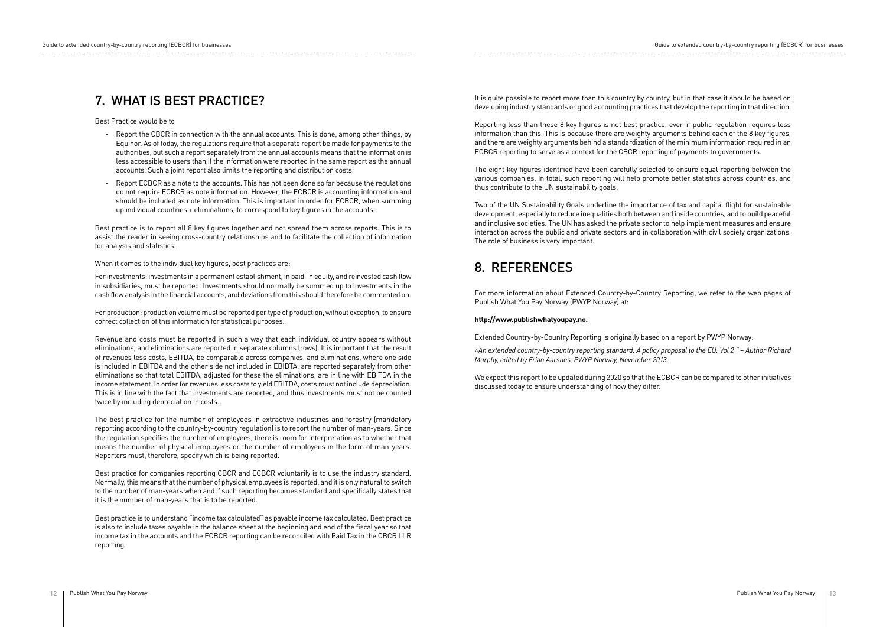It is quite possible to report more than this country by country, but in that case it should be based on developing industry standards or good accounting practices that develop the reporting in that direction.

Reporting less than these 8 key figures is not best practice, even if public regulation requires less information than this. This is because there are weighty arguments behind each of the 8 key figures, and there are weighty arguments behind a standardization of the minimum information required in an ECBCR reporting to serve as a context for the CBCR reporting of payments to governments.

The eight key figures identified have been carefully selected to ensure equal reporting between the various companies. In total, such reporting will help promote better statistics across countries, and thus contribute to the UN sustainability goals.

Two of the UN Sustainability Goals underline the importance of tax and capital flight for sustainable development, especially to reduce inequalities both between and inside countries, and to build peaceful and inclusive societies. The UN has asked the private sector to help implement measures and ensure interaction across the public and private sectors and in collaboration with civil society organizations. The role of business is very important.

For more information about Extended Country-by-Country Reporting, we refer to the web pages of Publish What You Pay Norway (PWYP Norway) at:

#### **http://www.publishwhatyoupay.no.**

Extended Country-by-Country Reporting is originally based on a report by PWYP Norway: *«An extended country-by-country reporting standard. A policy proposal to the EU. Vol 2 " – Author Richard* 

*Murphy, edited by Frian Aarsnes, PWYP Norway, November 2013.*

We expect this report to be updated during 2020 so that the ECBCR can be compared to other initiatives discussed today to ensure understanding of how they differ.

## 7. WHAT IS BEST PRACTICE?

Best Practice would be to

- Report the CBCR in connection with the annual accounts. This is done, among other things, by Equinor. As of today, the regulations require that a separate report be made for payments to the authorities, but such a report separately from the annual accounts means that the information is less accessible to users than if the information were reported in the same report as the annual accounts. Such a joint report also limits the reporting and distribution costs.
- Report ECBCR as a note to the accounts. This has not been done so far because the regulations do not require ECBCR as note information. However, the ECBCR is accounting information and should be included as note information. This is important in order for ECBCR, when summing up individual countries + eliminations, to correspond to key figures in the accounts.

Best practice is to report all 8 key figures together and not spread them across reports. This is to assist the reader in seeing cross-country relationships and to facilitate the collection of information for analysis and statistics.

When it comes to the individual key figures, best practices are:

For investments: investments in a permanent establishment, in paid-in equity, and reinvested cash flow in subsidiaries, must be reported. Investments should normally be summed up to investments in the cash flow analysis in the financial accounts, and deviations from this should therefore be commented on.

For production: production volume must be reported per type of production, without exception, to ensure correct collection of this information for statistical purposes.

Revenue and costs must be reported in such a way that each individual country appears without eliminations, and eliminations are reported in separate columns (rows). It is important that the result of revenues less costs, EBITDA, be comparable across companies, and eliminations, where one side is included in EBITDA and the other side not included in EBIDTA, are reported separately from other eliminations so that total EBITDA, adjusted for these the eliminations, are in line with EBITDA in the income statement. In order for revenues less costs to yield EBITDA, costs must not include depreciation. This is in line with the fact that investments are reported, and thus investments must not be counted twice by including depreciation in costs.

The best practice for the number of employees in extractive industries and forestry (mandatory reporting according to the country-by-country regulation) is to report the number of man-years. Since the regulation specifies the number of employees, there is room for interpretation as to whether that means the number of physical employees or the number of employees in the form of man-years. Reporters must, therefore, specify which is being reported.

Best practice for companies reporting CBCR and ECBCR voluntarily is to use the industry standard. Normally, this means that the number of physical employees is reported, and it is only natural to switch to the number of man-years when and if such reporting becomes standard and specifically states that it is the number of man-years that is to be reported.

Best practice is to understand "income tax calculated" as payable income tax calculated. Best practice is also to include taxes payable in the balance sheet at the beginning and end of the fiscal year so that income tax in the accounts and the ECBCR reporting can be reconciled with Paid Tax in the CBCR LLR reporting.

### 8. REFERENCES